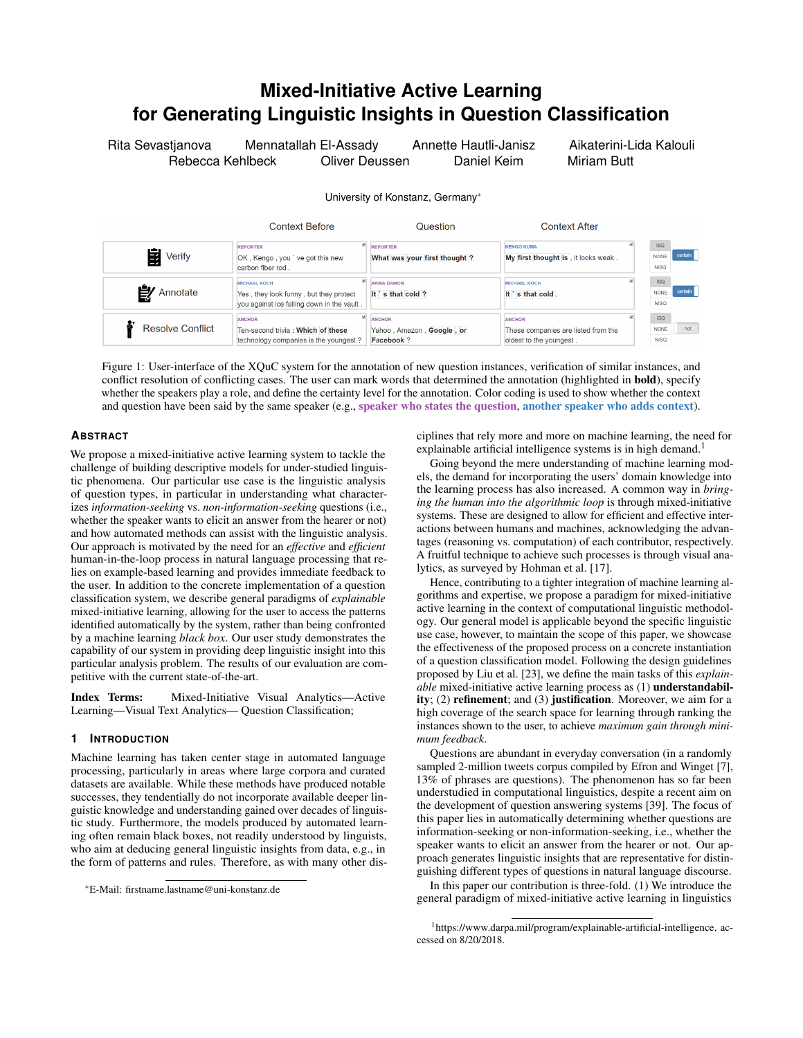# **Mixed-Initiative Active Learning for Generating Linguistic Insights in Question Classification**

Rita Sevastjanova Mennatallah El-Assady Annette Hautli-Janisz Aikaterini-Lida Kalouli Rebecca Kehlbeck Oliver Deussen Daniel Keim Miriam Butt

University of Konstanz, Germany\*



<span id="page-0-1"></span>Figure 1: User-interface of the XQuC system for the annotation of new question instances, verification of similar instances, and conflict resolution of conflicting cases. The user can mark words that determined the annotation (highlighted in **bold**), specify whether the speakers play a role, and define the certainty level for the annotation. Color coding is used to show whether the context and question have been said by the same speaker (e.g., speaker who states the question, another speaker who adds context).

# **ABSTRACT**

We propose a mixed-initiative active learning system to tackle the challenge of building descriptive models for under-studied linguistic phenomena. Our particular use case is the linguistic analysis of question types, in particular in understanding what characterizes *information-seeking* vs. *non-information-seeking* questions (i.e., whether the speaker wants to elicit an answer from the hearer or not) and how automated methods can assist with the linguistic analysis. Our approach is motivated by the need for an *effective* and *efficient* human-in-the-loop process in natural language processing that relies on example-based learning and provides immediate feedback to the user. In addition to the concrete implementation of a question classification system, we describe general paradigms of *explainable* mixed-initiative learning, allowing for the user to access the patterns identified automatically by the system, rather than being confronted by a machine learning *black box*. Our user study demonstrates the capability of our system in providing deep linguistic insight into this particular analysis problem. The results of our evaluation are competitive with the current state-of-the-art.

Index Terms: Mixed-Initiative Visual Analytics—Active Learning—Visual Text Analytics— Question Classification;

# **1 INTRODUCTION**

Machine learning has taken center stage in automated language processing, particularly in areas where large corpora and curated datasets are available. While these methods have produced notable successes, they tendentially do not incorporate available deeper linguistic knowledge and understanding gained over decades of linguistic study. Furthermore, the models produced by automated learning often remain black boxes, not readily understood by linguists, who aim at deducing general linguistic insights from data, e.g., in the form of patterns and rules. Therefore, as with many other disciplines that rely more and more on machine learning, the need for explainable artificial intelligence systems is in high demand.<sup>[1](#page-0-0)</sup>

Going beyond the mere understanding of machine learning models, the demand for incorporating the users' domain knowledge into the learning process has also increased. A common way in *bringing the human into the algorithmic loop* is through mixed-initiative systems. These are designed to allow for efficient and effective interactions between humans and machines, acknowledging the advantages (reasoning vs. computation) of each contributor, respectively. A fruitful technique to achieve such processes is through visual analytics, as surveyed by Hohman et al. [\[17\]](#page-6-0).

Hence, contributing to a tighter integration of machine learning algorithms and expertise, we propose a paradigm for mixed-initiative active learning in the context of computational linguistic methodology. Our general model is applicable beyond the specific linguistic use case, however, to maintain the scope of this paper, we showcase the effectiveness of the proposed process on a concrete instantiation of a question classification model. Following the design guidelines proposed by Liu et al. [\[23\]](#page-6-1), we define the main tasks of this *explainable* mixed-initiative active learning process as (1) understandability; (2) refinement; and (3) justification. Moreover, we aim for a high coverage of the search space for learning through ranking the instances shown to the user, to achieve *maximum gain through minimum feedback*.

Questions are abundant in everyday conversation (in a randomly sampled 2-million tweets corpus compiled by Efron and Winget [\[7\]](#page-6-2), 13% of phrases are questions). The phenomenon has so far been understudied in computational linguistics, despite a recent aim on the development of question answering systems [\[39\]](#page-6-3). The focus of this paper lies in automatically determining whether questions are information-seeking or non-information-seeking, i.e., whether the speaker wants to elicit an answer from the hearer or not. Our approach generates linguistic insights that are representative for distinguishing different types of questions in natural language discourse.

In this paper our contribution is three-fold. (1) We introduce the general paradigm of mixed-initiative active learning in linguistics

<sup>\*</sup>E-Mail: firstname.lastname@uni-konstanz.de

<span id="page-0-0"></span><sup>1</sup>https://www.darpa.mil/program/explainable-artificial-intelligence, accessed on 8/20/2018.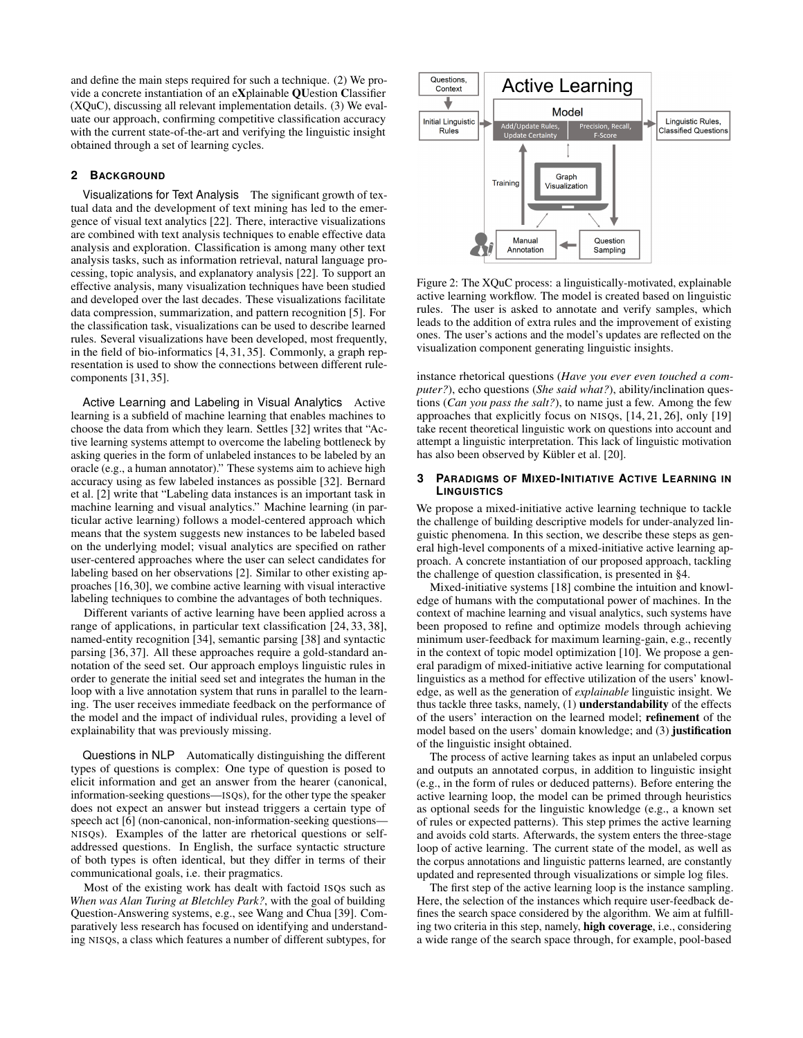and define the main steps required for such a technique. (2) We provide a concrete instantiation of an eXplainable QUestion Classifier (XQuC), discussing all relevant implementation details. (3) We evaluate our approach, confirming competitive classification accuracy with the current state-of-the-art and verifying the linguistic insight obtained through a set of learning cycles.

#### **2 BACKGROUND**

Visualizations for Text Analysis The significant growth of textual data and the development of text mining has led to the emergence of visual text analytics [\[22\]](#page-6-4). There, interactive visualizations are combined with text analysis techniques to enable effective data analysis and exploration. Classification is among many other text analysis tasks, such as information retrieval, natural language processing, topic analysis, and explanatory analysis [\[22\]](#page-6-4). To support an effective analysis, many visualization techniques have been studied and developed over the last decades. These visualizations facilitate data compression, summarization, and pattern recognition [\[5\]](#page-6-5). For the classification task, visualizations can be used to describe learned rules. Several visualizations have been developed, most frequently, in the field of bio-informatics [\[4,](#page-6-6) [31,](#page-6-7) [35\]](#page-6-8). Commonly, a graph representation is used to show the connections between different rulecomponents [\[31,](#page-6-7) [35\]](#page-6-8).

Active Learning and Labeling in Visual Analytics Active learning is a subfield of machine learning that enables machines to choose the data from which they learn. Settles [\[32\]](#page-6-9) writes that "Active learning systems attempt to overcome the labeling bottleneck by asking queries in the form of unlabeled instances to be labeled by an oracle (e.g., a human annotator)." These systems aim to achieve high accuracy using as few labeled instances as possible [\[32\]](#page-6-9). Bernard et al. [\[2\]](#page-6-10) write that "Labeling data instances is an important task in machine learning and visual analytics." Machine learning (in particular active learning) follows a model-centered approach which means that the system suggests new instances to be labeled based on the underlying model; visual analytics are specified on rather user-centered approaches where the user can select candidates for labeling based on her observations [\[2\]](#page-6-10). Similar to other existing approaches [\[16,](#page-6-11) [30\]](#page-6-12), we combine active learning with visual interactive labeling techniques to combine the advantages of both techniques.

Different variants of active learning have been applied across a range of applications, in particular text classification [\[24,](#page-6-13) [33,](#page-6-14) [38\]](#page-6-15), named-entity recognition [\[34\]](#page-6-16), semantic parsing [\[38\]](#page-6-15) and syntactic parsing [\[36,](#page-6-17) [37\]](#page-6-18). All these approaches require a gold-standard annotation of the seed set. Our approach employs linguistic rules in order to generate the initial seed set and integrates the human in the loop with a live annotation system that runs in parallel to the learning. The user receives immediate feedback on the performance of the model and the impact of individual rules, providing a level of explainability that was previously missing.

Questions in NLP Automatically distinguishing the different types of questions is complex: One type of question is posed to elicit information and get an answer from the hearer (canonical, information-seeking questions—ISQs), for the other type the speaker does not expect an answer but instead triggers a certain type of speech act [\[6\]](#page-6-19) (non-canonical, non-information-seeking questions— NISQs). Examples of the latter are rhetorical questions or selfaddressed questions. In English, the surface syntactic structure of both types is often identical, but they differ in terms of their communicational goals, i.e. their pragmatics.

Most of the existing work has dealt with factoid ISQs such as *When was Alan Turing at Bletchley Park?*, with the goal of building Question-Answering systems, e.g., see Wang and Chua [\[39\]](#page-6-3). Comparatively less research has focused on identifying and understanding NISQs, a class which features a number of different subtypes, for

<span id="page-1-0"></span>

Figure 2: The XQuC process: a linguistically-motivated, explainable active learning workflow. The model is created based on linguistic rules. The user is asked to annotate and verify samples, which leads to the addition of extra rules and the improvement of existing ones. The user's actions and the model's updates are reflected on the visualization component generating linguistic insights.

instance rhetorical questions (*Have you ever even touched a computer?*), echo questions (*She said what?*), ability/inclination questions (*Can you pass the salt?*), to name just a few. Among the few approaches that explicitly focus on NISQs, [\[14,](#page-6-20) [21,](#page-6-21) [26\]](#page-6-22), only [\[19\]](#page-6-23) take recent theoretical linguistic work on questions into account and attempt a linguistic interpretation. This lack of linguistic motivation has also been observed by Kübler et al. [\[20\]](#page-6-24).

#### **3 PARADIGMS OF MIXED-INITIATIVE ACTIVE LEARNING IN LINGUISTICS**

We propose a mixed-initiative active learning technique to tackle the challenge of building descriptive models for under-analyzed linguistic phenomena. In this section, we describe these steps as general high-level components of a mixed-initiative active learning approach. A concrete instantiation of our proposed approach, tackling the challenge of question classification, is presented in [§4.](#page-2-0)

Mixed-initiative systems [\[18\]](#page-6-25) combine the intuition and knowledge of humans with the computational power of machines. In the context of machine learning and visual analytics, such systems have been proposed to refine and optimize models through achieving minimum user-feedback for maximum learning-gain, e.g., recently in the context of topic model optimization [\[10\]](#page-6-26). We propose a general paradigm of mixed-initiative active learning for computational linguistics as a method for effective utilization of the users' knowledge, as well as the generation of *explainable* linguistic insight. We thus tackle three tasks, namely, (1) understandability of the effects of the users' interaction on the learned model; refinement of the model based on the users' domain knowledge; and (3) justification of the linguistic insight obtained.

The process of active learning takes as input an unlabeled corpus and outputs an annotated corpus, in addition to linguistic insight (e.g., in the form of rules or deduced patterns). Before entering the active learning loop, the model can be primed through heuristics as optional seeds for the linguistic knowledge (e.g., a known set of rules or expected patterns). This step primes the active learning and avoids cold starts. Afterwards, the system enters the three-stage loop of active learning. The current state of the model, as well as the corpus annotations and linguistic patterns learned, are constantly updated and represented through visualizations or simple log files.

The first step of the active learning loop is the instance sampling. Here, the selection of the instances which require user-feedback defines the search space considered by the algorithm. We aim at fulfilling two criteria in this step, namely, high coverage, i.e., considering a wide range of the search space through, for example, pool-based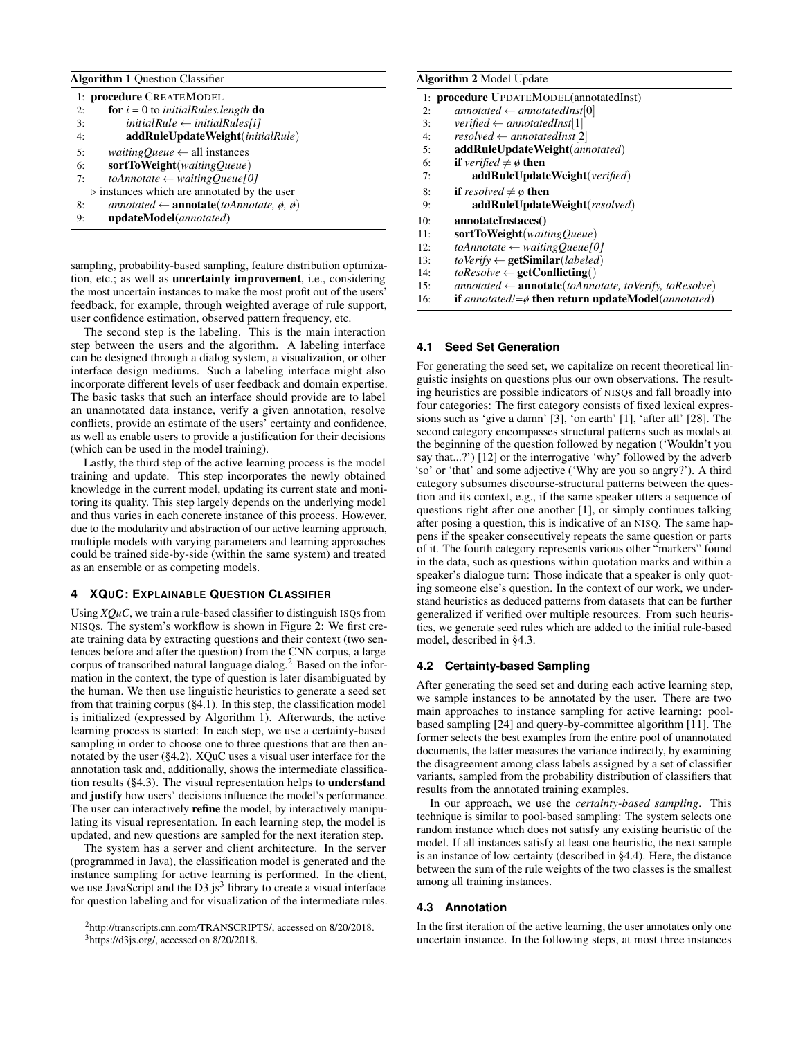<span id="page-2-3"></span>Algorithm 1 Question Classifier

| 1: procedure CREATEMODEL |                                                                       |  |  |  |
|--------------------------|-----------------------------------------------------------------------|--|--|--|
| 2:                       | <b>for</b> $i = 0$ to <i>initialRules.length</i> <b>do</b>            |  |  |  |
| 3:                       | $initialRule \leftarrow initialRules[i]$                              |  |  |  |
| 4:                       | addRuleUpdateWeight(initialRule)                                      |  |  |  |
| 5:                       | <i>waitingQueue</i> $\leftarrow$ all instances                        |  |  |  |
| 6:                       | sortToWeight(watingQueue)                                             |  |  |  |
| 7:                       | $toAnnotate \leftarrow waitingQueue[0]$                               |  |  |  |
|                          | $\triangleright$ instances which are annotated by the user            |  |  |  |
| 8:                       | annotated $\leftarrow$ <b>annotate</b> (toAnnotate, $\phi$ , $\phi$ ) |  |  |  |
| 9:                       | updateModel(annotated)                                                |  |  |  |

sampling, probability-based sampling, feature distribution optimization, etc.; as well as uncertainty improvement, i.e., considering the most uncertain instances to make the most profit out of the users' feedback, for example, through weighted average of rule support, user confidence estimation, observed pattern frequency, etc.

The second step is the labeling. This is the main interaction step between the users and the algorithm. A labeling interface can be designed through a dialog system, a visualization, or other interface design mediums. Such a labeling interface might also incorporate different levels of user feedback and domain expertise. The basic tasks that such an interface should provide are to label an unannotated data instance, verify a given annotation, resolve conflicts, provide an estimate of the users' certainty and confidence, as well as enable users to provide a justification for their decisions (which can be used in the model training).

Lastly, the third step of the active learning process is the model training and update. This step incorporates the newly obtained knowledge in the current model, updating its current state and monitoring its quality. This step largely depends on the underlying model and thus varies in each concrete instance of this process. However, due to the modularity and abstraction of our active learning approach, multiple models with varying parameters and learning approaches could be trained side-by-side (within the same system) and treated as an ensemble or as competing models.

#### <span id="page-2-0"></span>**4 XQUC: EXPLAINABLE QUESTION CLASSIFIER**

Using *XQuC*, we train a rule-based classifier to distinguish ISQs from NISQs. The system's workflow is shown in Figure [2:](#page-1-0) We first create training data by extracting questions and their context (two sentences before and after the question) from the CNN corpus, a large corpus of transcribed natural language dialog.[2](#page-2-1) Based on the information in the context, the type of question is later disambiguated by the human. We then use linguistic heuristics to generate a seed set from that training corpus ([§4.1\)](#page-2-2). In this step, the classification model is initialized (expressed by Algorithm [1\)](#page-2-3). Afterwards, the active learning process is started: In each step, we use a certainty-based sampling in order to choose one to three questions that are then annotated by the user ([§4.2\)](#page-2-4). XQuC uses a visual user interface for the annotation task and, additionally, shows the intermediate classification results ([§4.3\)](#page-2-5). The visual representation helps to understand and justify how users' decisions influence the model's performance. The user can interactively refine the model, by interactively manipulating its visual representation. In each learning step, the model is updated, and new questions are sampled for the next iteration step.

The system has a server and client architecture. In the server (programmed in Java), the classification model is generated and the instance sampling for active learning is performed. In the client, we use JavaScript and the D[3](#page-2-6).js<sup>3</sup> library to create a visual interface for question labeling and for visualization of the intermediate rules.

# <span id="page-2-7"></span>Algorithm 2 Model Undate

| $\mu$ <sub>114</sub> $\mu$ <sub>114</sub> $\mu$ <sub>110</sub> $\mu$ <sup>1</sup> $\sigma$ <sub>114</sub> $\sigma$ <sub>114</sub> $\sigma$ |                                                                                   |  |  |  |
|--------------------------------------------------------------------------------------------------------------------------------------------|-----------------------------------------------------------------------------------|--|--|--|
|                                                                                                                                            | 1: <b>procedure</b> UPDATEMODEL(annotatedInst)                                    |  |  |  |
| 2:                                                                                                                                         | $annotated \leftarrow annotatedInst[0]$                                           |  |  |  |
| 3:                                                                                                                                         | verified $\leftarrow$ annotatedInst[1]                                            |  |  |  |
| 4:                                                                                                                                         | $resolved \leftarrow annotatedInst[2]$                                            |  |  |  |
| 5:                                                                                                                                         | addRuleUpdateWeight(annotated)                                                    |  |  |  |
| 6:                                                                                                                                         | <b>if</b> verified $\neq \emptyset$ then                                          |  |  |  |
| 7:                                                                                                                                         | addRuleUpdateWeight(verified)                                                     |  |  |  |
| 8:                                                                                                                                         | <b>if</b> resolved $\neq \emptyset$ then                                          |  |  |  |
| 9:                                                                                                                                         | addRuleUpdateWeight(resolved)                                                     |  |  |  |
| 10:                                                                                                                                        | annotateInstaces()                                                                |  |  |  |
| 11:                                                                                                                                        | sortToWeight(waitingQueue)                                                        |  |  |  |
| 12:                                                                                                                                        | toAnnotate $\leftarrow$ waitingOueue[0]                                           |  |  |  |
| 13:                                                                                                                                        | toVerify $\leftarrow$ getSimilar(labeled)                                         |  |  |  |
| 14:                                                                                                                                        | $to Resolve \leftarrow \textbf{getConficting}()$                                  |  |  |  |
| 15:                                                                                                                                        | $annotated \leftarrow$ <b>annotate</b> ( <i>toAnnotate, toVerify, toResolve</i> ) |  |  |  |
|                                                                                                                                            |                                                                                   |  |  |  |

16: if *annotated!=ø* then return updateModel(*annotated*)

#### <span id="page-2-2"></span>**4.1 Seed Set Generation**

For generating the seed set, we capitalize on recent theoretical linguistic insights on questions plus our own observations. The resulting heuristics are possible indicators of NISQs and fall broadly into four categories: The first category consists of fixed lexical expressions such as 'give a damn' [\[3\]](#page-6-27), 'on earth' [\[1\]](#page-6-28), 'after all' [\[28\]](#page-6-29). The second category encompasses structural patterns such as modals at the beginning of the question followed by negation ('Wouldn't you say that...?') [\[12\]](#page-6-30) or the interrogative 'why' followed by the adverb 'so' or 'that' and some adjective ('Why are you so angry?'). A third category subsumes discourse-structural patterns between the question and its context, e.g., if the same speaker utters a sequence of questions right after one another [\[1\]](#page-6-28), or simply continues talking after posing a question, this is indicative of an NISQ. The same happens if the speaker consecutively repeats the same question or parts of it. The fourth category represents various other "markers" found in the data, such as questions within quotation marks and within a speaker's dialogue turn: Those indicate that a speaker is only quoting someone else's question. In the context of our work, we understand heuristics as deduced patterns from datasets that can be further generalized if verified over multiple resources. From such heuristics, we generate seed rules which are added to the initial rule-based model, described in [§4.3.](#page-2-5)

#### <span id="page-2-4"></span>**4.2 Certainty-based Sampling**

After generating the seed set and during each active learning step, we sample instances to be annotated by the user. There are two main approaches to instance sampling for active learning: poolbased sampling [\[24\]](#page-6-13) and query-by-committee algorithm [\[11\]](#page-6-31). The former selects the best examples from the entire pool of unannotated documents, the latter measures the variance indirectly, by examining the disagreement among class labels assigned by a set of classifier variants, sampled from the probability distribution of classifiers that results from the annotated training examples.

In our approach, we use the *certainty-based sampling*. This technique is similar to pool-based sampling: The system selects one random instance which does not satisfy any existing heuristic of the model. If all instances satisfy at least one heuristic, the next sample is an instance of low certainty (described in [§4.4\)](#page-3-0). Here, the distance between the sum of the rule weights of the two classes is the smallest among all training instances.

#### <span id="page-2-5"></span>**4.3 Annotation**

In the first iteration of the active learning, the user annotates only one uncertain instance. In the following steps, at most three instances

<span id="page-2-6"></span><span id="page-2-1"></span><sup>&</sup>lt;sup>2</sup>http://transcripts.cnn.com/TRANSCRIPTS/, accessed on 8/20/2018. <sup>3</sup>https://d3js.org/, accessed on 8/20/2018.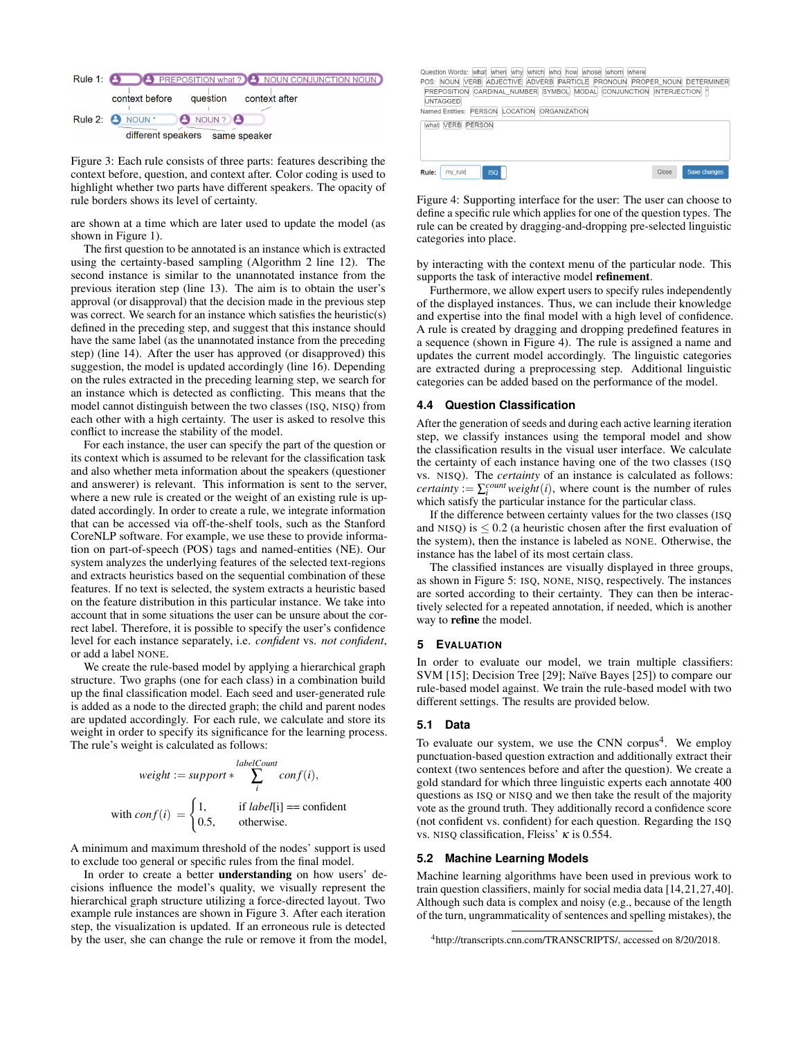<span id="page-3-1"></span>

Figure 3: Each rule consists of three parts: features describing the context before, question, and context after. Color coding is used to highlight whether two parts have different speakers. The opacity of rule borders shows its level of certainty.

are shown at a time which are later used to update the model (as shown in Figure [1\)](#page-0-1).

The first question to be annotated is an instance which is extracted using the certainty-based sampling (Algorithm [2](#page-2-7) line 12). The second instance is similar to the unannotated instance from the previous iteration step (line 13). The aim is to obtain the user's approval (or disapproval) that the decision made in the previous step was correct. We search for an instance which satisfies the heuristic(s) defined in the preceding step, and suggest that this instance should have the same label (as the unannotated instance from the preceding step) (line 14). After the user has approved (or disapproved) this suggestion, the model is updated accordingly (line 16). Depending on the rules extracted in the preceding learning step, we search for an instance which is detected as conflicting. This means that the model cannot distinguish between the two classes (ISQ, NISQ) from each other with a high certainty. The user is asked to resolve this conflict to increase the stability of the model.

For each instance, the user can specify the part of the question or its context which is assumed to be relevant for the classification task and also whether meta information about the speakers (questioner and answerer) is relevant. This information is sent to the server, where a new rule is created or the weight of an existing rule is updated accordingly. In order to create a rule, we integrate information that can be accessed via off-the-shelf tools, such as the Stanford CoreNLP software. For example, we use these to provide information on part-of-speech (POS) tags and named-entities (NE). Our system analyzes the underlying features of the selected text-regions and extracts heuristics based on the sequential combination of these features. If no text is selected, the system extracts a heuristic based on the feature distribution in this particular instance. We take into account that in some situations the user can be unsure about the correct label. Therefore, it is possible to specify the user's confidence level for each instance separately, i.e. *confident* vs. *not confident*, or add a label NONE.

We create the rule-based model by applying a hierarchical graph structure. Two graphs (one for each class) in a combination build up the final classification model. Each seed and user-generated rule is added as a node to the directed graph; the child and parent nodes are updated accordingly. For each rule, we calculate and store its weight in order to specify its significance for the learning process. The rule's weight is calculated as follows:

*weight* := *support* \* 
$$
\sum_{i}^{labelCount} conf(i),
$$
  
with  $conf(i) = \begin{cases} 1, & \text{if } label[i] == \text{confident} \\ 0.5, & \text{otherwise.} \end{cases}$ 

A minimum and maximum threshold of the nodes' support is used to exclude too general or specific rules from the final model.

In order to create a better understanding on how users' decisions influence the model's quality, we visually represent the hierarchical graph structure utilizing a force-directed layout. Two example rule instances are shown in Figure [3.](#page-3-1) After each iteration step, the visualization is updated. If an erroneous rule is detected by the user, she can change the rule or remove it from the model, <span id="page-3-2"></span>Question Words: [what | when] [which | who] | how] [whose] | whom | where |<br>POS: NOUN | VERB | ADJECTIVE | ADVERB | PARTICLE | PRONOUN | PROPER NOUN | DETERMINER PREPOSITION CARDINAL\_NUMBER SYMBOL MODAL CONJUNCTION INTERJECTION | **UNTAGGED** Named Entities: PERSON LOCATION ORGANIZATION **What VERB PERSON** Rule: my\_rule Close

Figure 4: Supporting interface for the user: The user can choose to define a specific rule which applies for one of the question types. The rule can be created by dragging-and-dropping pre-selected linguistic categories into place.

by interacting with the context menu of the particular node. This supports the task of interactive model refinement.

Furthermore, we allow expert users to specify rules independently of the displayed instances. Thus, we can include their knowledge and expertise into the final model with a high level of confidence. A rule is created by dragging and dropping predefined features in a sequence (shown in Figure [4\)](#page-3-2). The rule is assigned a name and updates the current model accordingly. The linguistic categories are extracted during a preprocessing step. Additional linguistic categories can be added based on the performance of the model.

#### <span id="page-3-0"></span>**4.4 Question Classification**

After the generation of seeds and during each active learning iteration step, we classify instances using the temporal model and show the classification results in the visual user interface. We calculate the certainty of each instance having one of the two classes (ISQ vs. NISQ). The *certainty* of an instance is calculated as follows: *certainty* :=  $\sum_{i}^{count} weight(i)$ , where count is the number of rules which satisfy the particular instance for the particular class.

If the difference between certainty values for the two classes (ISQ and NISQ) is  $\leq$  0.2 (a heuristic chosen after the first evaluation of the system), then the instance is labeled as NONE. Otherwise, the instance has the label of its most certain class.

The classified instances are visually displayed in three groups, as shown in Figure [5:](#page-4-0) ISQ, NONE, NISQ, respectively. The instances are sorted according to their certainty. They can then be interactively selected for a repeated annotation, if needed, which is another way to refine the model.

#### **5 EVALUATION**

In order to evaluate our model, we train multiple classifiers: SVM [\[15\]](#page-6-32); Decision Tree [\[29\]](#page-6-33); Naïve Bayes [\[25\]](#page-6-34)) to compare our rule-based model against. We train the rule-based model with two different settings. The results are provided below.

#### **5.1 Data**

To evaluate our system, we use the CNN corpus<sup>[4](#page-3-3)</sup>. We employ punctuation-based question extraction and additionally extract their context (two sentences before and after the question). We create a gold standard for which three linguistic experts each annotate 400 questions as ISQ or NISQ and we then take the result of the majority vote as the ground truth. They additionally record a confidence score (not confident vs. confident) for each question. Regarding the ISQ vs. NISQ classification, Fleiss'  $\kappa$  is 0.554.

#### **5.2 Machine Learning Models**

Machine learning algorithms have been used in previous work to train question classifiers, mainly for social media data [\[14](#page-6-20)[,21,](#page-6-21)[27,](#page-6-35)[40\]](#page-6-36). Although such data is complex and noisy (e.g., because of the length of the turn, ungrammaticality of sentences and spelling mistakes), the

<span id="page-3-3"></span><sup>4</sup>http://transcripts.cnn.com/TRANSCRIPTS/, accessed on 8/20/2018.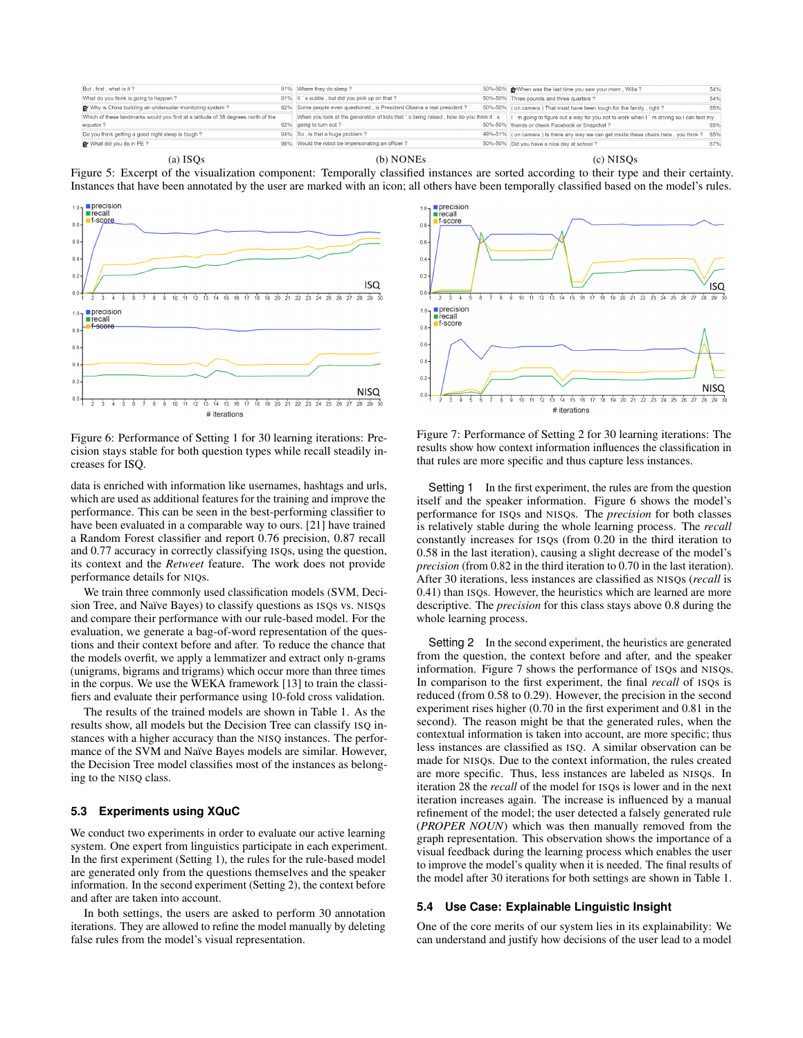<span id="page-4-0"></span>

(a) ISQs (b) NONEs (c) NISQs

Figure 5: Excerpt of the visualization component: Temporally classified instances are sorted according to their type and their certainty. Instances that have been annotated by the user are marked with an icon; all others have been temporally classified based on the model's rules.

<span id="page-4-1"></span>

Figure 6: Performance of Setting 1 for 30 learning iterations: Precision stays stable for both question types while recall steadily increases for ISQ.

data is enriched with information like usernames, hashtags and urls, which are used as additional features for the training and improve the performance. This can be seen in the best-performing classifier to have been evaluated in a comparable way to ours. [\[21\]](#page-6-21) have trained a Random Forest classifier and report 0.76 precision, 0.87 recall and 0.77 accuracy in correctly classifying ISQs, using the question, its context and the *Retweet* feature. The work does not provide performance details for NIQs.

We train three commonly used classification models (SVM, Decision Tree, and Naïve Bayes) to classify questions as ISQs vs. NISQs and compare their performance with our rule-based model. For the evaluation, we generate a bag-of-word representation of the questions and their context before and after. To reduce the chance that the models overfit, we apply a lemmatizer and extract only n-grams (unigrams, bigrams and trigrams) which occur more than three times in the corpus. We use the WEKA framework [\[13\]](#page-6-37) to train the classifiers and evaluate their performance using 10-fold cross validation.

The results of the trained models are shown in Table [1.](#page-5-0) As the results show, all models but the Decision Tree can classify ISQ instances with a higher accuracy than the NISQ instances. The performance of the SVM and Naïve Bayes models are similar. However, the Decision Tree model classifies most of the instances as belonging to the NISQ class.

## **5.3 Experiments using XQuC**

We conduct two experiments in order to evaluate our active learning system. One expert from linguistics participate in each experiment. In the first experiment (Setting 1), the rules for the rule-based model are generated only from the questions themselves and the speaker information. In the second experiment (Setting 2), the context before and after are taken into account.

In both settings, the users are asked to perform 30 annotation iterations. They are allowed to refine the model manually by deleting false rules from the model's visual representation.

<span id="page-4-2"></span>

Figure 7: Performance of Setting 2 for 30 learning iterations: The results show how context information influences the classification in that rules are more specific and thus capture less instances.

Setting 1 In the first experiment, the rules are from the question itself and the speaker information. Figure [6](#page-4-1) shows the model's performance for ISQs and NISQs. The *precision* for both classes is relatively stable during the whole learning process. The *recall* constantly increases for ISQs (from 0.20 in the third iteration to 0.58 in the last iteration), causing a slight decrease of the model's *precision* (from 0.82 in the third iteration to 0.70 in the last iteration). After 30 iterations, less instances are classified as NISQs (*recall* is 0.41) than ISQs. However, the heuristics which are learned are more descriptive. The *precision* for this class stays above 0.8 during the whole learning process.

Setting 2 In the second experiment, the heuristics are generated from the question, the context before and after, and the speaker information. Figure [7](#page-4-2) shows the performance of ISQs and NISQs. In comparison to the first experiment, the final *recall* of ISQs is reduced (from 0.58 to 0.29). However, the precision in the second experiment rises higher (0.70 in the first experiment and 0.81 in the second). The reason might be that the generated rules, when the contextual information is taken into account, are more specific; thus less instances are classified as ISQ. A similar observation can be made for NISQs. Due to the context information, the rules created are more specific. Thus, less instances are labeled as NISQs. In iteration 28 the *recall* of the model for ISQs is lower and in the next iteration increases again. The increase is influenced by a manual refinement of the model; the user detected a falsely generated rule (*PROPER NOUN*) which was then manually removed from the graph representation. This observation shows the importance of a visual feedback during the learning process which enables the user to improve the model's quality when it is needed. The final results of the model after 30 iterations for both settings are shown in Table [1.](#page-5-0)

#### **5.4 Use Case: Explainable Linguistic Insight**

One of the core merits of our system lies in its explainability: We can understand and justify how decisions of the user lead to a model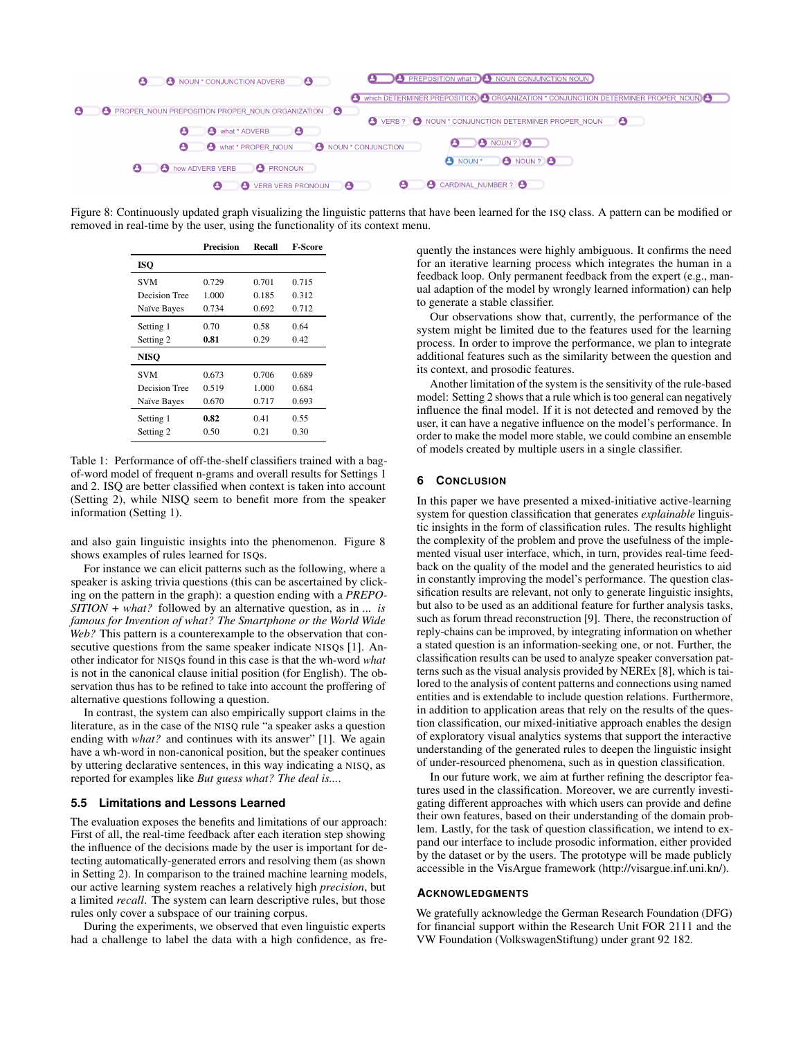<span id="page-5-1"></span>

<span id="page-5-0"></span>Figure 8: Continuously updated graph visualizing the linguistic patterns that have been learned for the ISQ class. A pattern can be modified or removed in real-time by the user, using the functionality of its context menu.

|               | Precision | Recall | <b>F-Score</b> |
|---------------|-----------|--------|----------------|
| <b>ISO</b>    |           |        |                |
| <b>SVM</b>    | 0.729     | 0.701  | 0.715          |
| Decision Tree | 1.000     | 0.185  | 0.312          |
| Naïve Bayes   | 0.734     | 0.692  | 0.712          |
| Setting 1     | 0.70      | 0.58   | 0.64           |
| Setting 2     | 0.81      | 0.29   | 0.42           |
| <b>NISO</b>   |           |        |                |
| <b>SVM</b>    | 0.673     | 0.706  | 0.689          |
| Decision Tree | 0.519     | 1.000  | 0.684          |
| Naïve Bayes   | 0.670     | 0.717  | 0.693          |
| Setting 1     | 0.82      | 0.41   | 0.55           |
| Setting 2     | 0.50      | 0.21   | 0.30           |

Table 1: Performance of off-the-shelf classifiers trained with a bagof-word model of frequent n-grams and overall results for Settings 1 and 2. ISQ are better classified when context is taken into account (Setting 2), while NISQ seem to benefit more from the speaker information (Setting 1).

and also gain linguistic insights into the phenomenon. Figure [8](#page-5-1) shows examples of rules learned for ISQs.

For instance we can elicit patterns such as the following, where a speaker is asking trivia questions (this can be ascertained by clicking on the pattern in the graph): a question ending with a *PREPO-SITION + what?* followed by an alternative question, as in *... is famous for Invention of what? The Smartphone or the World Wide Web?* This pattern is a counterexample to the observation that con-secutive questions from the same speaker indicate NISQs [\[1\]](#page-6-28). Another indicator for NISQs found in this case is that the wh-word *what* is not in the canonical clause initial position (for English). The observation thus has to be refined to take into account the proffering of alternative questions following a question.

In contrast, the system can also empirically support claims in the literature, as in the case of the NISQ rule "a speaker asks a question ending with *what?* and continues with its answer" [\[1\]](#page-6-28). We again have a wh-word in non-canonical position, but the speaker continues by uttering declarative sentences, in this way indicating a NISQ, as reported for examples like *But guess what? The deal is...*.

#### **5.5 Limitations and Lessons Learned**

The evaluation exposes the benefits and limitations of our approach: First of all, the real-time feedback after each iteration step showing the influence of the decisions made by the user is important for detecting automatically-generated errors and resolving them (as shown in Setting 2). In comparison to the trained machine learning models, our active learning system reaches a relatively high *precision*, but a limited *recall*. The system can learn descriptive rules, but those rules only cover a subspace of our training corpus.

During the experiments, we observed that even linguistic experts had a challenge to label the data with a high confidence, as fre-

quently the instances were highly ambiguous. It confirms the need for an iterative learning process which integrates the human in a feedback loop. Only permanent feedback from the expert (e.g., manual adaption of the model by wrongly learned information) can help to generate a stable classifier.

Our observations show that, currently, the performance of the system might be limited due to the features used for the learning process. In order to improve the performance, we plan to integrate additional features such as the similarity between the question and its context, and prosodic features.

Another limitation of the system is the sensitivity of the rule-based model: Setting 2 shows that a rule which is too general can negatively influence the final model. If it is not detected and removed by the user, it can have a negative influence on the model's performance. In order to make the model more stable, we could combine an ensemble of models created by multiple users in a single classifier.

## **6 CONCLUSION**

In this paper we have presented a mixed-initiative active-learning system for question classification that generates *explainable* linguistic insights in the form of classification rules. The results highlight the complexity of the problem and prove the usefulness of the implemented visual user interface, which, in turn, provides real-time feedback on the quality of the model and the generated heuristics to aid in constantly improving the model's performance. The question classification results are relevant, not only to generate linguistic insights, but also to be used as an additional feature for further analysis tasks, such as forum thread reconstruction [\[9\]](#page-6-38). There, the reconstruction of reply-chains can be improved, by integrating information on whether a stated question is an information-seeking one, or not. Further, the classification results can be used to analyze speaker conversation patterns such as the visual analysis provided by NEREx [\[8\]](#page-6-39), which is tailored to the analysis of content patterns and connections using named entities and is extendable to include question relations. Furthermore, in addition to application areas that rely on the results of the question classification, our mixed-initiative approach enables the design of exploratory visual analytics systems that support the interactive understanding of the generated rules to deepen the linguistic insight of under-resourced phenomena, such as in question classification.

In our future work, we aim at further refining the descriptor features used in the classification. Moreover, we are currently investigating different approaches with which users can provide and define their own features, based on their understanding of the domain problem. Lastly, for the task of question classification, we intend to expand our interface to include prosodic information, either provided by the dataset or by the users. The prototype will be made publicly accessible in the VisArgue framework (http://visargue.inf.uni.kn/).

#### **ACKNOWLEDGMENTS**

We gratefully acknowledge the German Research Foundation (DFG) for financial support within the Research Unit FOR 2111 and the VW Foundation (VolkswagenStiftung) under grant 92 182.